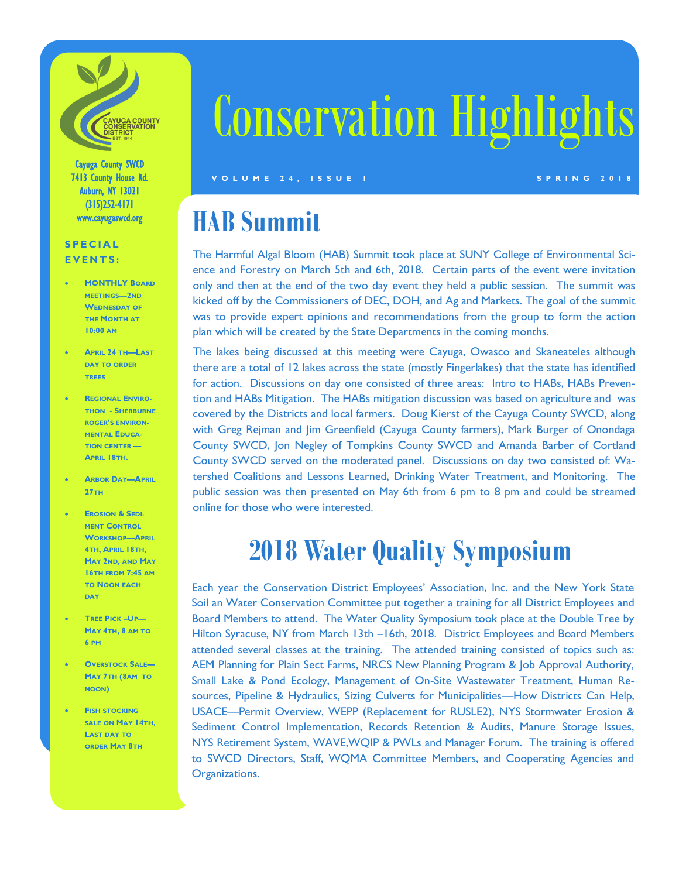

Cayuga County SWCD 7413 County House Rd. Auburn, NY 13021 (315)252-4171 www.cayugaswcd.org

#### **S P E C I A L E V E N T S :**

- **MONTHLY BOARD MEETINGS—2ND WEDNESDAY OF THE MONTH AT 10:00 AM**
- **APRIL 24 TH—LAST DAY TO ORDER TREES**
- **REGIONAL ENVIRO-THON - SHERBURNE ROGER'S ENVIRON-MENTAL EDUCA-TION CENTER — APRIL 18TH.**
- **ARBOR DAY—APRIL 27TH**
- **EROSION & SEDI-MENT CONTROL WORKSHOP—APRIL 4TH, APRIL 18TH, MAY 2ND, AND MAY 16TH FROM 7:45 AM TO NOON EACH DAY**
- **TREE PICK –UP— MAY 4TH, 8 AM TO 6 PM**
- **OVERSTOCK SALE— MAY 7TH (8AM TO NOON)**
- **FISH STOCKING SALE ON MAY 14TH, LAST DAY TO ORDER MAY 8TH**

# Conservation Highlights

**V O L U M E 2 4 , I S S U E 1 S P R I N G 2 0 1 8**

## **HAB Summit**

The Harmful Algal Bloom (HAB) Summit took place at SUNY College of Environmental Science and Forestry on March 5th and 6th, 2018. Certain parts of the event were invitation only and then at the end of the two day event they held a public session. The summit was kicked off by the Commissioners of DEC, DOH, and Ag and Markets. The goal of the summit was to provide expert opinions and recommendations from the group to form the action plan which will be created by the State Departments in the coming months.

The lakes being discussed at this meeting were Cayuga, Owasco and Skaneateles although there are a total of 12 lakes across the state (mostly Fingerlakes) that the state has identified for action. Discussions on day one consisted of three areas: Intro to HABs, HABs Prevention and HABs Mitigation. The HABs mitigation discussion was based on agriculture and was covered by the Districts and local farmers. Doug Kierst of the Cayuga County SWCD, along with Greg Rejman and Jim Greenfield (Cayuga County farmers), Mark Burger of Onondaga County SWCD, Jon Negley of Tompkins County SWCD and Amanda Barber of Cortland County SWCD served on the moderated panel. Discussions on day two consisted of: Watershed Coalitions and Lessons Learned, Drinking Water Treatment, and Monitoring. The public session was then presented on May 6th from 6 pm to 8 pm and could be streamed online for those who were interested.

### **2018 Water Quality Symposium**

Each year the Conservation District Employees' Association, Inc. and the New York State Soil an Water Conservation Committee put together a training for all District Employees and Board Members to attend. The Water Quality Symposium took place at the Double Tree by Hilton Syracuse, NY from March 13th –16th, 2018. District Employees and Board Members attended several classes at the training. The attended training consisted of topics such as: AEM Planning for Plain Sect Farms, NRCS New Planning Program & Job Approval Authority, Small Lake & Pond Ecology, Management of On-Site Wastewater Treatment, Human Resources, Pipeline & Hydraulics, Sizing Culverts for Municipalities—How Districts Can Help, USACE—Permit Overview, WEPP (Replacement for RUSLE2), NYS Stormwater Erosion & Sediment Control Implementation, Records Retention & Audits, Manure Storage Issues, NYS Retirement System, WAVE,WQIP & PWLs and Manager Forum. The training is offered to SWCD Directors, Staff, WQMA Committee Members, and Cooperating Agencies and Organizations.